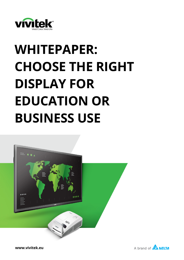

# **WHITEPAPER: CHOOSE THE RIGHT DISPLAY FOR EDUCATION OR BUSINESS USE**



**www.vivitek.eu**

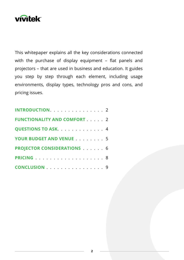

This whitepaper explains all the key considerations connected with the purchase of display equipment – flat panels and projectors – that are used in business and education. It guides you step by step through each element, including usage environments, display types, technology pros and cons, and pricing issues.

| INTRODUCTION. 2                    |  |  |  |
|------------------------------------|--|--|--|
| <b>FUNCTIONALITY AND COMFORT 2</b> |  |  |  |
| <b>QUESTIONS TO ASK.</b> 4         |  |  |  |
| YOUR BUDGET AND VENUE 5            |  |  |  |
| <b>PROJECTOR CONSIDERATIONS  6</b> |  |  |  |
|                                    |  |  |  |
| CONCLUSION 9                       |  |  |  |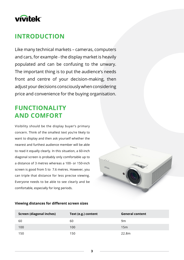# **vivitek**

# **INTRODUCTION**

Like many technical markets – cameras, computers and cars, for example - the display market is heavily populated and can be confusing to the unwary. The important thing is to put the audience's needs front and centre of your decision-making, then adjust your decisions consciously when considering price and convenience for the buying organisation.

# **FUNCTIONALITY AND COMFORT**

Visibility should be the display buyer's primary concern. Think of the smallest text you're likely to want to display and then ask yourself whether the nearest and furthest audience member will be able to read it equally clearly. In this situation, a 60-inch diagonal screen is probably only comfortable up to a distance of 3 metres whereas a 100- or 150-inch screen is good from 5 to 7.6 metres. However, you can triple that distance for less precise viewing. Everyone needs to be able to see clearly and be comfortable, especially for long periods.



#### **Viewing distances for different screen sizes**

| <b>Screen (diagonal inches)</b> | Text (e.g.) content | <b>General content</b> |
|---------------------------------|---------------------|------------------------|
| 60                              | 60                  | 9m                     |
| 100                             | 100                 | 15m                    |
| 150                             | 150                 | 22.8m                  |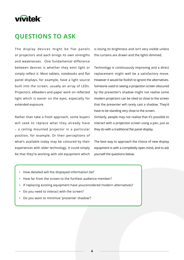

### **QUESTIONS TO ASK**

The display devices might be flat panels or projectors and each brings its own strengths and weaknesses. One fundamental difference between devices is whether they emit light or simply reflect it. Most tablets, notebooks and flat panel displays, for example, have a light source built into the screen, usually an array of LEDs. Projectors, eReaders and paper work on reflected light which is easier on the eyes, especially for extended exposure.

Rather than take a fresh approach, some buyers will seek to replace what they already have – a ceiling mounted projector in a particular position, for example. Or their perceptions of what's available today may be coloured by their experiences with older technology. It could simply be that they're working with old equipment which is losing its brightness and isn't very visible unless the curtains are drawn and the lights dimmed.

Technology is continuously improving and a direct replacement might well be a satisfactory move. However it would be foolish to ignore the alternatives. Someone used to seeing a projection screen obscured by the presenter's shadow might not realise some modern projectors can be sited so close to the screen that the presenter will rarely cast a shadow. They'd have to be standing very close to the screen.

Similarly, people may not realise that it's possible to interact with a projection screen using a pen, just as they do with a traditional flat panel display.

The best way to approach the choice of new display equipment is with a completely open mind, and to ask yourself the questions below.

- How detailed will the displayed information be?
- How far from the screen to the furthest audience member?
- If replacing existing equipment have youconsidered modern alternatives?
- Do you need to interact with the screen?
- Do you want to minimize 'presenter shadow'?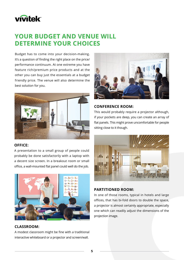# **vivitek**

# **YOUR BUDGET AND VENUE WILL DETERMINE YOUR CHOICES**

Budget has to come into your decision-making. It's a question of finding the right place on the price/ performance continuum. At one extreme you have feature rich/premium price products and at the other you can buy just the essentials at a budget friendly price. The venue will also determine the best solution for you.



#### **OFFICE:**

A presentation to a small group of people could probably be done satisfactorily with a laptop with a decent size screen. In a breakout room or small office, a wall-mounted flat panel could well do the job.



#### **CLASSROOM:**

A modest classroom might be fine with a traditional interactive whiteboard or a projector and screen/wall.



#### **CONFERENCE ROOM:**

This would probably require a projector although, if your pockets are deep, you can create an array of flat panels. This might prove uncomfortable for people sitting close to it though.



#### **PARTITIONED ROOM:**

In one of those rooms, typical in hotels and large offices, that has bi-fold doors to double the space, a projector is almost certainly appropriate, especially one which can readily adjust the dimensions of the projection image.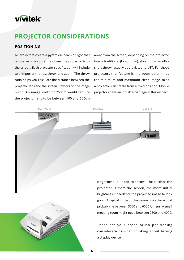# **vivitek®**

# **PROJECTOR CONSIDERATIONS**

#### **POSITIONING**

**BRIGHTNESS** 

All projectors create a pyramidic beam of light that is smaller in volume the closer the projector is to the screen. Each projector specification will include two important ratios: throw and zoom. The throw ratio helps you calculate the distance between the projector lens and the screen. It works on the image width. An image width of 250cm would require the projector lens to be between 100 and 500cm

away from the screen, depending on the projector type – traditional (long throw), short throw or ultra short throw, usually abbreviated to UST. For those projectors that feature it, the zoom determines the minimum and maximum clear image sizes a projector can create from a fixed position. Mobile projectors have an inbuilt advantage in this respect.





Brightness is linked to throw. The further the projector is from the screen, the more initial brightness it needs for the projected image to look good. A typical office or classroom projector would probably lie between 3000 and 6000 lumens. A small meeting room might need between 2500 and 4000.

These are your broad brush positioning considerations when thinking about buying a display device.

**6**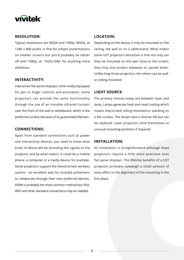

#### **RESOLUTION:**

Typical resolutions are WXGA and 1080p. WXGA, at 1280 x 800 pixels, is fine for simple presentations on smaller screens but you'd probably be better off with 1080p, at 1920x1080, for anything more ambitious.

#### **INTERACTIVITY:**

Interactive flat panel displays come ready-equipped for pen or finger controls and annotation. Some projectors can provide the same functionality through the use of an invisible infrared 'curtain' over the front of the wall or whiteboard, which is the preferred surface because of its guaranteed flatness.

#### **CONNECTIONS:**

Apart from standard connections such as power and interactivity devices, you need to know what kinds of device will be providing the signals to the projector and by what means. It could be a mobile phone, a computer or a media device, for example. Some projectors support the NovoConnect wireless system - an excellent way for multiple presenters to collaborate through their own preferred devices. HDMI is probably the most common method but VGA, WiFi and other standard connections may be needed.

#### **LOCATION:**

Depending on the device, it may be mounted on the ceiling, the wall or on a table/stand. What makes some UST projectors attractive is that not only can they be mounted on the wall close to the screen; they may also project sideways or upside down. Unlike long throw projectors, the others can be wallor ceiling-mounted.

#### **LIGHT SOURCE:**

The primary choices today are between laser and lamp. Lamps generate heat and need cooling which means they're best ceiling-mounted or standing on a flat surface. The lamps have a shorter life but can be replaced. Laser projectors lend themselves to unusual mounting positions if required.

#### **INSTALLATION:**

All installation is straightforward although fixed projectors require a little more precision than flat panel displays. The lifetime benefits of a UST projector probably outweigh a small amount of extra effort in the alignment of the mounting in the first place.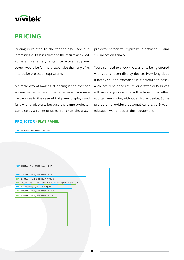# **vivitek**

### **PRICING**

Pricing is related to the technology used but, interestingly, it's less related to the results achieved. For example, a very large interactive flat panel screen would be far more expensive than any of its interactive projection equivalents.

A simple way of looking at pricing is the cost per square metre displayed. The price per extra square metre rises in the case of flat panel displays and falls with projectors, because the same projector can display a range of sizes. For example, a UST projector screen will typically lie between 80 and 100 inches diagonally.

You also need to check the warranty being offered with your chosen display device. How long does it last? Can it be extended? Is it a 'return to base', a 'collect, repair and return' or a 'swap out'? Prices will vary and your decision will be based on whether you can keep going without a display device. Some projector providers automatically give 5-year education warranties on their equipment.

#### **PROJECTOR / FLAT PANEL**

**80"** 1.77 m² | Price (€) 1,500 |Cost/m² (€) 847 **65"** 1.1664 m² | Price (€) 2,000 |Cost/m² (€) 1,715 **75"** 1.5438 m² | Price (€) 3,200 |Cost/m² (€) 2,073 **98"** 2.6474 m²| Price (€) 20,000 |Cost/m² (€) 7,555 **86"** 2.033 m² | Price (€) 4,500 |Cost/m² (€) 2,213 **86"** Price (€) 1,500 |Cost/m² (€) 738 **100"** 2.7625 m² | Price (€) 1,500 |Cost/m² (€) 543 **120"** 3,9634 m² | Price (€) 1,500 |Cost/m² (€) 378 **200″** 11,0307 m<sup>2</sup> | Price (€) 1,500 | Cost/m<sup>2</sup> (€) 136